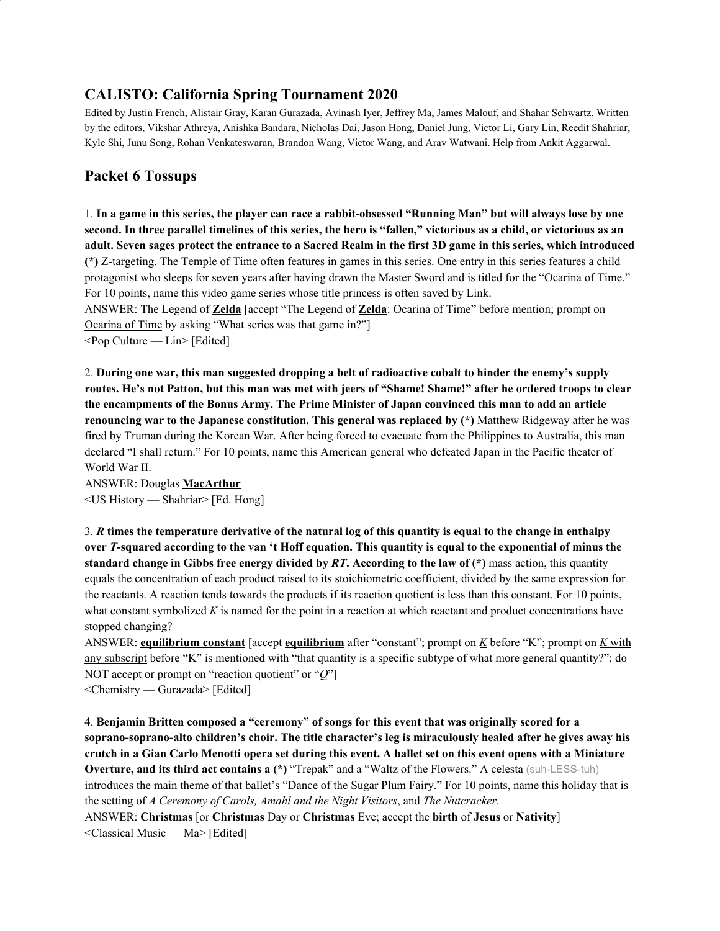# **CALISTO: California Spring Tournament 2020**

Edited by Justin French, Alistair Gray, Karan Gurazada, Avinash Iyer, Jeffrey Ma, James Malouf, and Shahar Schwartz. Written by the editors, Vikshar Athreya, Anishka Bandara, Nicholas Dai, Jason Hong, Daniel Jung, Victor Li, Gary Lin, Reedit Shahriar, Kyle Shi, Junu Song, Rohan Venkateswaran, Brandon Wang, Victor Wang, and Arav Watwani. Help from Ankit Aggarwal.

## **Packet 6 Tossups**

1. In a game in this series, the player can race a rabbit-obsessed "Running Man" but will always lose by one second. In three parallel timelines of this series, the hero is "fallen," victorious as a child, or victorious as an adult. Seven sages protect the entrance to a Sacred Realm in the first 3D game in this series, which introduced **(\*)** Z-targeting. The Temple of Time often features in games in this series. One entry in this series features a child protagonist who sleeps for seven years after having drawn the Master Sword and is titled for the "Ocarina of Time." For 10 points, name this video game series whose title princess is often saved by Link.

ANSWER: The Legend of **Zelda** [accept "The Legend of **Zelda**: Ocarina of Time" before mention; prompt on Ocarina of Time by asking "What series was that game in?"]

 $\leq$ Pop Culture — Lin $\geq$  [Edited]

2. **During one war, this man suggested dropping a belt of radioactive cobalt to hinder the enemy's supply** routes. He's not Patton, but this man was met with jeers of "Shame! Shame!" after he ordered troops to clear the encampments of the Bonus Army. The Prime Minister of Japan convinced this man to add an article **renouncing war to the Japanese constitution. This general was replaced by (\*)** Matthew Ridgeway after he was fired by Truman during the Korean War. After being forced to evacuate from the Philippines to Australia, this man declared "I shall return." For 10 points, name this American general who defeated Japan in the Pacific theater of World War II.

ANSWER: Douglas **MacArthur** <US History — Shahriar> [Ed. Hong]

3. R times the temperature derivative of the natural log of this quantity is equal to the change in enthalpy over T-squared according to the van 't Hoff equation. This quantity is equal to the exponential of minus the **standard change in Gibbs free energy divided by** *RT***. According to the law of (\*)** mass action, this quantity equals the concentration of each product raised to its stoichiometric coefficient, divided by the same expression for the reactants. A reaction tends towards the products if its reaction quotient is less than this constant. For 10 points, what constant symbolized *K* is named for the point in a reaction at which reactant and product concentrations have stopped changing?

ANSWER: **equilibrium constant** [accept **equilibrium** after "constant"; prompt on *K* before "K"; prompt on *K* with any subscript before "K" is mentioned with "that quantity is a specific subtype of what more general quantity?"; do NOT accept or prompt on "reaction quotient" or "*Q*"]

<Chemistry — Gurazada> [Edited]

4. **Benjamin Britten composed a "ceremony" of songs for this event that was originally scored for a soprano-soprano-alto children's choir. The title character's leg is miraculously healed after he gives away his** crutch in a Gian Carlo Menotti opera set during this event. A ballet set on this event opens with a Miniature **Overture, and its third act contains a (\*)** "Trepak" and a "Waltz of the Flowers." A celesta (suh-LESS-tuh) introduces the main theme of that ballet's "Dance of the Sugar Plum Fairy." For 10 points, name this holiday that is the setting of *A Ceremony of Carols, Amahl and the Night Visitors*, and *The Nutcracker*. ANSWER: **Christmas** [or **Christmas** Day or **Christmas** Eve; accept the **birth** of **Jesus** or **Nativity**] <Classical Music — Ma> [Edited]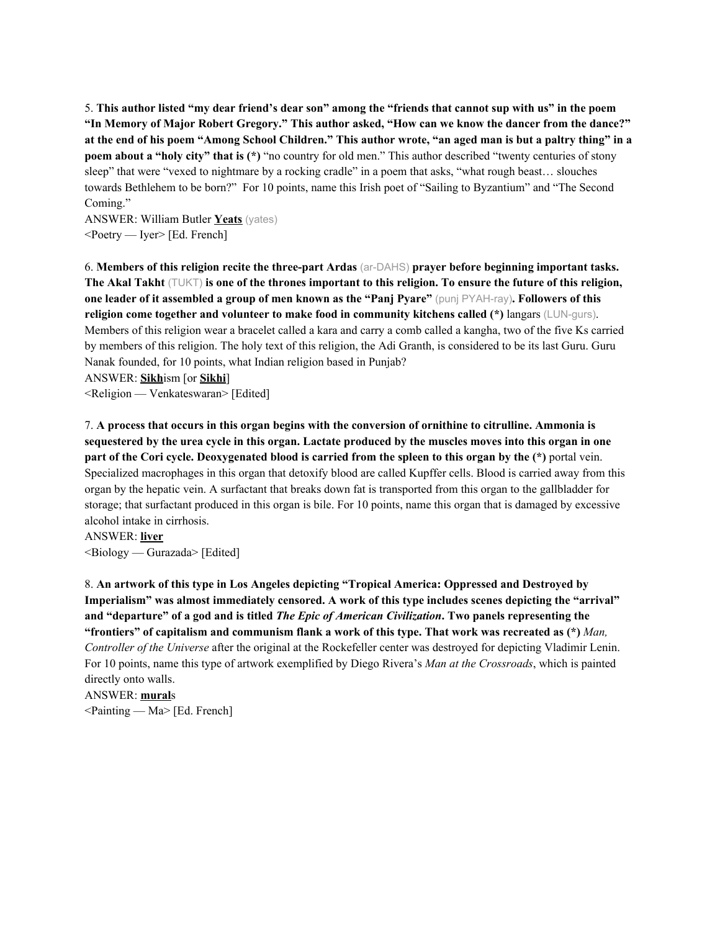5. This author listed "my dear friend's dear son" among the "friends that cannot sup with us" in the poem "In Memory of Major Robert Gregory." This author asked, "How can we know the dancer from the dance?" at the end of his poem "Among School Children." This author wrote, "an aged man is but a paltry thing" in a **poem about a "holy city" that is (\*)** "no country for old men." This author described "twenty centuries of stony sleep" that were "vexed to nightmare by a rocking cradle" in a poem that asks, "what rough beast… slouches towards Bethlehem to be born?" For 10 points, name this Irish poet of "Sailing to Byzantium" and "The Second Coming."

ANSWER: William Butler **Yeats** (yates) <Poetry — Iyer> [Ed. French]

6. **Members of this religion recite the three-part Ardas** (ar-DAHS) **prayer before beginning important tasks.** The Akal Takht  $(T\cup K)$  is one of the thrones important to this religion. To ensure the future of this religion, one leader of it assembled a group of men known as the "Panj Pyare" (punj PYAH-ray). Followers of this **religion come together and volunteer to make food in community kitchens called (\*)** langars (LUN-gurs). Members of this religion wear a bracelet called a kara and carry a comb called a kangha, two of the five Ks carried by members of this religion. The holy text of this religion, the Adi Granth, is considered to be its last Guru. Guru Nanak founded, for 10 points, what Indian religion based in Punjab?

ANSWER: **Sikh**ism [or **Sikhi**]

<Religion — Venkateswaran> [Edited]

7. **A process that occurs in this organ begins with the conversion of ornithine to citrulline. Ammonia is** sequestered by the urea cycle in this organ. Lactate produced by the muscles moves into this organ in one part of the Cori cycle. Deoxygenated blood is carried from the spleen to this organ by the (\*) portal vein. Specialized macrophages in this organ that detoxify blood are called Kupffer cells. Blood is carried away from this organ by the hepatic vein. A surfactant that breaks down fat is transported from this organ to the gallbladder for storage; that surfactant produced in this organ is bile. For 10 points, name this organ that is damaged by excessive alcohol intake in cirrhosis.

ANSWER: **liver**  $\leq$ Biology — Gurazada> [Edited]

8. **An artwork of this type in Los Angeles depicting "Tropical America: Oppressed and Destroyed by Imperialism" was almost immediately censored. A work of this type includes scenes depicting the "arrival"** and "departure" of a god and is titled *The Epic of American Civilization*. Two panels representing the "frontiers" of capitalism and communism flank a work of this type. That work was recreated as  $(*)$  Man, *Controller of the Universe* after the original at the Rockefeller center was destroyed for depicting Vladimir Lenin. For 10 points, name this type of artwork exemplified by Diego Rivera's *Man at the Crossroads*, which is painted directly onto walls.

ANSWER: **mural**s

<Painting — Ma> [Ed. French]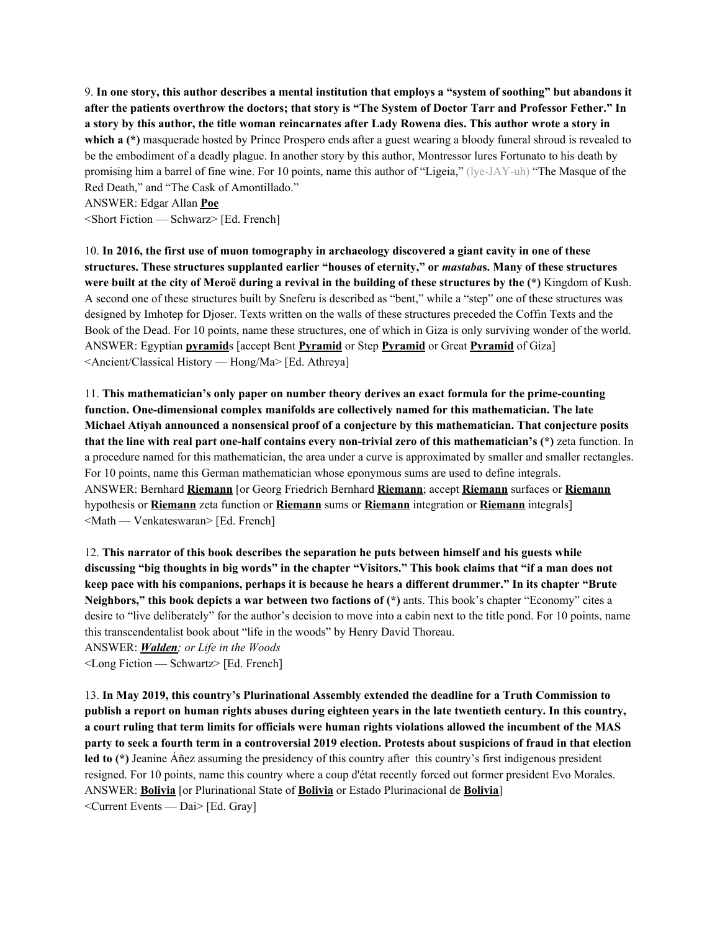9. In one story, this author describes a mental institution that employs a "system of soothing" but abandons it after the patients overthrow the doctors; that story is "The System of Doctor Tarr and Professor Fether." In a story by this author, the title woman reincarnates after Lady Rowena dies. This author wrote a story in **which a (\*)** masquerade hosted by Prince Prospero ends after a guest wearing a bloody funeral shroud is revealed to be the embodiment of a deadly plague. In another story by this author, Montressor lures Fortunato to his death by promising him a barrel of fine wine. For 10 points, name this author of "Ligeia," (lye-JAY-uh) "The Masque of the Red Death," and "The Cask of Amontillado."

ANSWER: Edgar Allan **Poe**

<Short Fiction — Schwarz> [Ed. French]

10. In 2016, the first use of muon tomography in archaeology discovered a giant cavity in one of these **structures. These structures supplanted earlier "houses of eternity," or** *mastaba***s. Many of these structures** were built at the city of Meroë during a revival in the building of these structures by the  $(*)$  Kingdom of Kush. A second one of these structures built by Sneferu is described as "bent," while a "step" one of these structures was designed by Imhotep for Djoser. Texts written on the walls of these structures preceded the Coffin Texts and the Book of the Dead. For 10 points, name these structures, one of which in Giza is only surviving wonder of the world. ANSWER: Egyptian **pyramid**s [accept Bent **Pyramid** or Step **Pyramid** or Great **Pyramid** of Giza] <Ancient/Classical History — Hong/Ma> [Ed. Athreya]

11. **This mathematician's only paper on number theory derives an exact formula for the prime-counting function. One-dimensional complex manifolds are collectively named for this mathematician. The late Michael Atiyah announced a nonsensical proof of a conjecture by this mathematician. That conjecture posits that the line with real part one-half contains every non-trivial zero of this mathematician's (\*)** zeta function. In a procedure named for this mathematician, the area under a curve is approximated by smaller and smaller rectangles. For 10 points, name this German mathematician whose eponymous sums are used to define integrals. ANSWER: Bernhard **Riemann** [or Georg Friedrich Bernhard **Riemann**; accept **Riemann** surfaces or **Riemann** hypothesis or **Riemann** zeta function or **Riemann** sums or **Riemann** integration or **Riemann** integrals] <Math — Venkateswaran> [Ed. French]

12. **This narrator of this book describes the separation he puts between himself and his guests while** discussing "big thoughts in big words" in the chapter "Visitors." This book claims that "if a man does not keep pace with his companions, perhaps it is because he hears a different drummer." In its chapter "Brute" **Neighbors," this book depicts a war between two factions of (\*)** ants. This book's chapter "Economy" cites a desire to "live deliberately" for the author's decision to move into a cabin next to the title pond. For 10 points, name this transcendentalist book about "life in the woods" by Henry David Thoreau.

ANSWER: *Walden; or Life in the Woods* <Long Fiction — Schwartz> [Ed. French]

13. **In May 2019, this country's Plurinational Assembly extended the deadline for a Truth Commission to** publish a report on human rights abuses during eighteen years in the late twentieth century. In this country, a court ruling that term limits for officials were human rights violations allowed the incumbent of the MAS party to seek a fourth term in a controversial 2019 election. Protests about suspicions of fraud in that election **led to (\*)** Jeanine Áñez assuming the presidency of this country after this country's first indigenous president resigned. For 10 points, name this country where a coup d'état recently forced out former president Evo Morales. ANSWER: **Bolivia** [or Plurinational State of **Bolivia** or Estado Plurinacional de **Bolivia**] <Current Events — Dai> [Ed. Gray]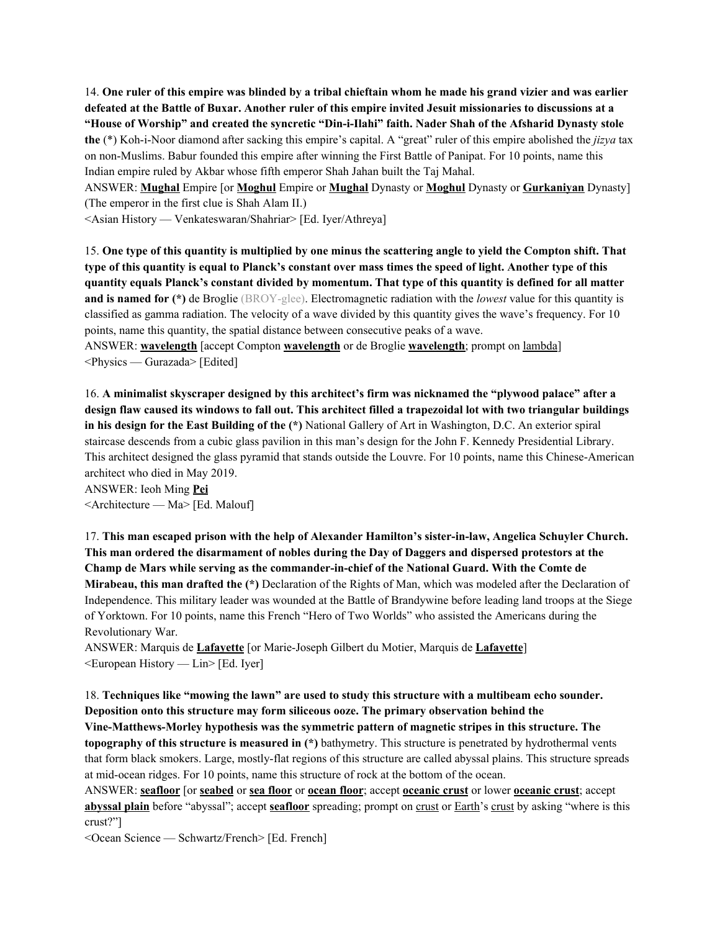14. One ruler of this empire was blinded by a tribal chieftain whom he made his grand vizier and was earlier defeated at the Battle of Buxar. Another ruler of this empire invited Jesuit missionaries to discussions at a **"House of Worship" and created the syncretic "Din-i-Ilahi" faith. Nader Shah of the Afsharid Dynasty stole the** (\*) Koh-i-Noor diamond after sacking this empire's capital. A "great" ruler of this empire abolished the *jizya* tax on non-Muslims. Babur founded this empire after winning the First Battle of Panipat. For 10 points, name this Indian empire ruled by Akbar whose fifth emperor Shah Jahan built the Taj Mahal.

ANSWER: **Mughal** Empire [or **Moghul** Empire or **Mughal** Dynasty or **Moghul** Dynasty or **Gurkaniyan** Dynasty] (The emperor in the first clue is Shah Alam II.)

<Asian History — Venkateswaran/Shahriar> [Ed. Iyer/Athreya]

15. One type of this quantity is multiplied by one minus the scattering angle to yield the Compton shift. That type of this quantity is equal to Planck's constant over mass times the speed of light. Another type of this quantity equals Planck's constant divided by momentum. That type of this quantity is defined for all matter **and is named for (\*)** de Broglie (BROY-glee). Electromagnetic radiation with the *lowest* value for this quantity is classified as gamma radiation. The velocity of a wave divided by this quantity gives the wave's frequency. For 10 points, name this quantity, the spatial distance between consecutive peaks of a wave.

ANSWER: **wavelength** [accept Compton **wavelength** or de Broglie **wavelength**; prompt on lambda] <Physics — Gurazada> [Edited]

16. **A minimalist skyscraper designed by this architect's firm was nicknamed the "plywood palace" after a** design flaw caused its windows to fall out. This architect filled a trapezoidal lot with two triangular buildings **in his design for the East Building of the (\*)** National Gallery of Art in Washington, D.C. An exterior spiral staircase descends from a cubic glass pavilion in this man's design for the John F. Kennedy Presidential Library. This architect designed the glass pyramid that stands outside the Louvre. For 10 points, name this Chinese-American architect who died in May 2019.

ANSWER: Ieoh Ming **Pei** <Architecture — Ma> [Ed. Malouf]

17. **This man escaped prison with the help of Alexander Hamilton's sister-in-law, Angelica Schuyler Church. This man ordered the disarmament of nobles during the Day of Daggers and dispersed protestors at the Champ de Mars while serving as the commander-in-chief of the National Guard. With the Comte de Mirabeau, this man drafted the (\*)** Declaration of the Rights of Man, which was modeled after the Declaration of Independence. This military leader was wounded at the Battle of Brandywine before leading land troops at the Siege of Yorktown. For 10 points, name this French "Hero of Two Worlds" who assisted the Americans during the Revolutionary War.

ANSWER: Marquis de **Lafayette** [or Marie-Joseph Gilbert du Motier, Marquis de **Lafayette**] <European History — Lin> [Ed. Iyer]

18. **Techniques like "mowing the lawn" are used to study this structure with a multibeam echo sounder. Deposition onto this structure may form siliceous ooze. The primary observation behind the**

**Vine-Matthews-Morley hypothesis was the symmetric pattern of magnetic stripes in this structure. The topography of this structure is measured in (\*)** bathymetry. This structure is penetrated by hydrothermal vents that form black smokers. Large, mostly-flat regions of this structure are called abyssal plains. This structure spreads at mid-ocean ridges. For 10 points, name this structure of rock at the bottom of the ocean.

ANSWER: **seafloor** [or **seabed** or **sea floor** or **ocean floor**; accept **oceanic crust** or lower **oceanic crust**; accept **abyssal plain** before "abyssal"; accept **<u>seafloor</u>** spreading; prompt on crust or Earth's crust by asking "where is this crust?"]

<Ocean Science — Schwartz/French> [Ed. French]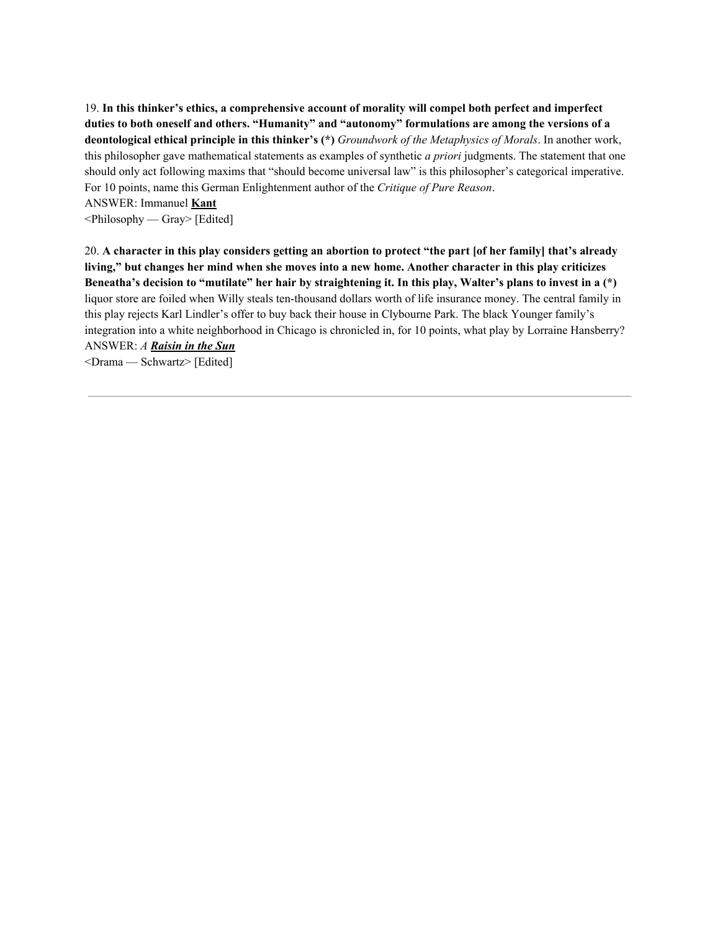19. **In this thinker's ethics, a comprehensive account of morality will compel both perfect and imperfect duties to both oneself and others. "Humanity" and "autonomy" formulations are among the versions of a deontological ethical principle in this thinker's (\*)** *Groundwork of the Metaphysics of Morals*. In another work, this philosopher gave mathematical statements as examples of synthetic *a priori* judgments. The statement that one should only act following maxims that "should become universal law" is this philosopher's categorical imperative. For 10 points, name this German Enlightenment author of the *Critique of Pure Reason*.

ANSWER: Immanuel **Kant**

<Philosophy — Gray> [Edited]

20. A character in this play considers getting an abortion to protect "the part [of her family] that's already living," but changes her mind when she moves into a new home. Another character in this play criticizes Beneatha's decision to "mutilate" her hair by straightening it. In this play, Walter's plans to invest in a (\*) liquor store are foiled when Willy steals ten-thousand dollars worth of life insurance money. The central family in this play rejects Karl Lindler's offer to buy back their house in Clybourne Park. The black Younger family's integration into a white neighborhood in Chicago is chronicled in, for 10 points, what play by Lorraine Hansberry? ANSWER: *A Raisin in the Sun*

<Drama — Schwartz> [Edited]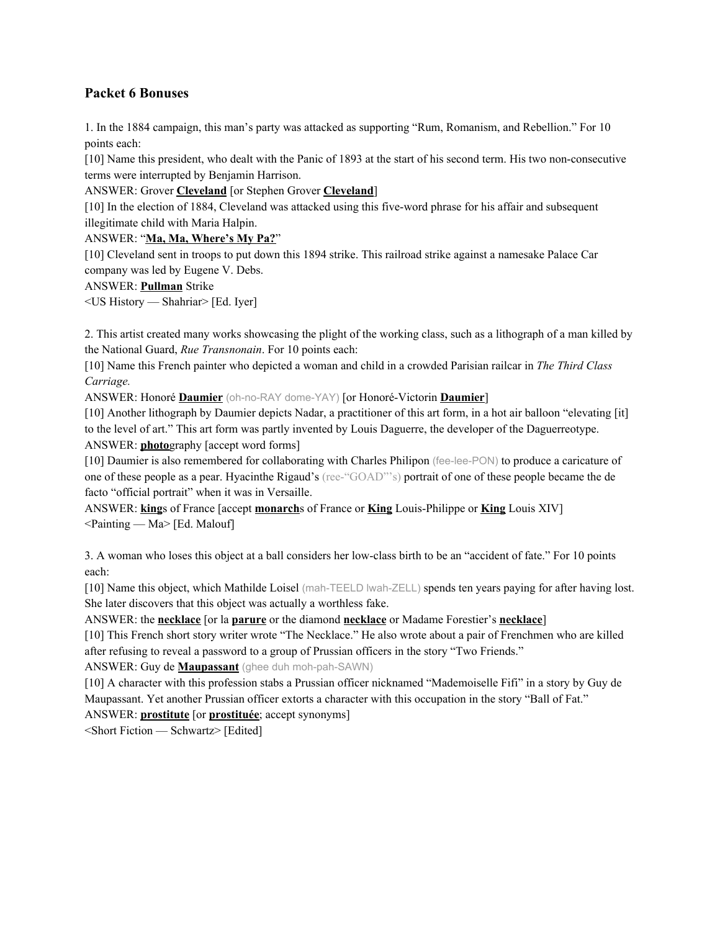## **Packet 6 Bonuses**

1. In the 1884 campaign, this man's party was attacked as supporting "Rum, Romanism, and Rebellion." For 10 points each:

[10] Name this president, who dealt with the Panic of 1893 at the start of his second term. His two non-consecutive terms were interrupted by Benjamin Harrison.

ANSWER: Grover **Cleveland** [or Stephen Grover **Cleveland**]

[10] In the election of 1884, Cleveland was attacked using this five-word phrase for his affair and subsequent illegitimate child with Maria Halpin.

## ANSWER: "**Ma, Ma, Where's My Pa?**"

[10] Cleveland sent in troops to put down this 1894 strike. This railroad strike against a namesake Palace Car company was led by Eugene V. Debs.

## ANSWER: **Pullman** Strike

<US History — Shahriar> [Ed. Iyer]

2. This artist created many works showcasing the plight of the working class, such as a lithograph of a man killed by the National Guard, *Rue Transnonain*. For 10 points each:

[10] Name this French painter who depicted a woman and child in a crowded Parisian railcar in *The Third Class Carriage.*

ANSWER: Honoré **Daumier** (oh-no-RAY dome-YAY) [or Honoré-Victorin **Daumier**]

[10] Another lithograph by Daumier depicts Nadar, a practitioner of this art form, in a hot air balloon "elevating [it] to the level of art." This art form was partly invented by Louis Daguerre, the developer of the Daguerreotype. ANSWER: **photo**graphy [accept word forms]

[10] Daumier is also remembered for collaborating with Charles Philipon (fee-lee-PON) to produce a caricature of one of these people as a pear. Hyacinthe Rigaud's (ree-"GOAD"'s) portrait of one of these people became the de facto "official portrait" when it was in Versaille.

ANSWER: **king**s of France [accept **monarch**s of France or **King** Louis-Philippe or **King** Louis XIV] <Painting — Ma> [Ed. Malouf]

3. A woman who loses this object at a ball considers her low-class birth to be an "accident of fate." For 10 points each:

[10] Name this object, which Mathilde Loisel (mah-TEELD lwah-ZELL) spends ten years paying for after having lost. She later discovers that this object was actually a worthless fake.

ANSWER: the **necklace** [or la **parure** or the diamond **necklace** or Madame Forestier's **necklace**]

[10] This French short story writer wrote "The Necklace." He also wrote about a pair of Frenchmen who are killed after refusing to reveal a password to a group of Prussian officers in the story "Two Friends."

ANSWER: Guy de **Maupassant** (ghee duh moh-pah-SAWN)

[10] A character with this profession stabs a Prussian officer nicknamed "Mademoiselle Fifi" in a story by Guy de Maupassant. Yet another Prussian officer extorts a character with this occupation in the story "Ball of Fat." ANSWER: **prostitute** [or **prostituée**; accept synonyms]

<Short Fiction — Schwartz> [Edited]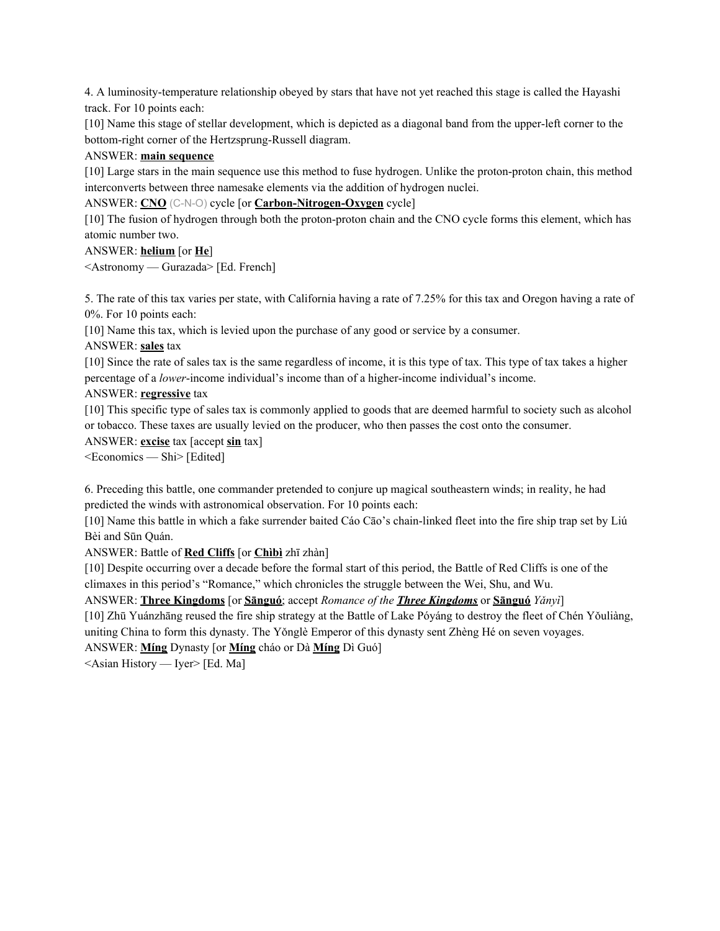4. A luminosity-temperature relationship obeyed by stars that have not yet reached this stage is called the Hayashi track. For 10 points each:

[10] Name this stage of stellar development, which is depicted as a diagonal band from the upper-left corner to the bottom-right corner of the Hertzsprung-Russell diagram.

## ANSWER: **main sequence**

[10] Large stars in the main sequence use this method to fuse hydrogen. Unlike the proton-proton chain, this method interconverts between three namesake elements via the addition of hydrogen nuclei.

ANSWER: **CNO** (C-N-O) cycle [or **Carbon-Nitrogen-Oxygen** cycle]

[10] The fusion of hydrogen through both the proton-proton chain and the CNO cycle forms this element, which has atomic number two.

## ANSWER: **helium** [or **He**]

<Astronomy — Gurazada> [Ed. French]

5. The rate of this tax varies per state, with California having a rate of 7.25% for this tax and Oregon having a rate of 0%. For 10 points each:

[10] Name this tax, which is levied upon the purchase of any good or service by a consumer.

ANSWER: **sales** tax

[10] Since the rate of sales tax is the same regardless of income, it is this type of tax. This type of tax takes a higher percentage of a *lower*-income individual's income than of a higher-income individual's income.

## ANSWER: **regressive** tax

[10] This specific type of sales tax is commonly applied to goods that are deemed harmful to society such as alcohol or tobacco. These taxes are usually levied on the producer, who then passes the cost onto the consumer.

ANSWER: **excise** tax [accept **sin** tax]

<Economics — Shi> [Edited]

6. Preceding this battle, one commander pretended to conjure up magical southeastern winds; in reality, he had predicted the winds with astronomical observation. For 10 points each:

[10] Name this battle in which a fake surrender baited Cáo Cāo's chain-linked fleet into the fire ship trap set by Liú Bèi and Sūn Quán.

ANSWER: Battle of **Red Cliffs** [or **Chìbì** zhī zhàn]

[10] Despite occurring over a decade before the formal start of this period, the Battle of Red Cliffs is one of the climaxes in this period's "Romance," which chronicles the struggle between the Wei, Shu, and Wu.

ANSWER: **Three Kingdoms** [or **Sānguó**; accept *Romance of the Three Kingdoms* or **Sānguó** *Yǎnyì*]

[10] Zhū Yuánzhāng reused the fire ship strategy at the Battle of Lake Póyáng to destroy the fleet of Chén Yǒuliàng, uniting China to form this dynasty. The Yǒnglè Emperor of this dynasty sent Zhèng Hé on seven voyages.

ANSWER: **Míng** Dynasty [or **Míng** cháo or Dà **Míng** Dì Guó]

<Asian History — Iyer> [Ed. Ma]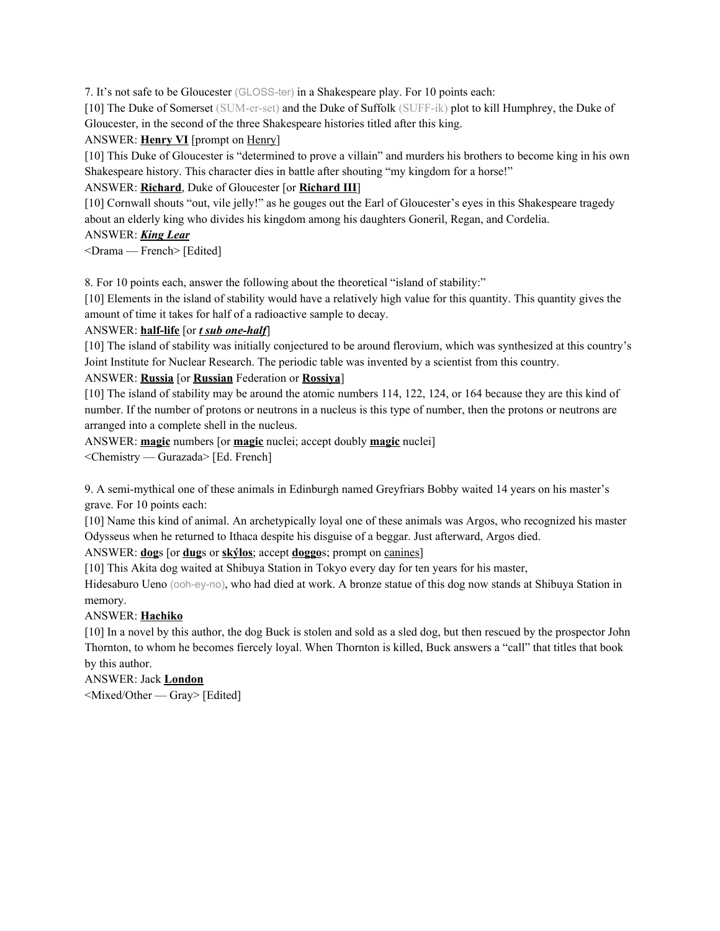7. It's not safe to be Gloucester (GLOSS-ter) in a Shakespeare play. For 10 points each:

[10] The Duke of Somerset (SUM-er-set) and the Duke of Suffolk (SUFF-ik) plot to kill Humphrey, the Duke of Gloucester, in the second of the three Shakespeare histories titled after this king.

### ANSWER: **Henry VI** [prompt on Henry]

[10] This Duke of Gloucester is "determined to prove a villain" and murders his brothers to become king in his own Shakespeare history. This character dies in battle after shouting "my kingdom for a horse!"

## ANSWER: **Richard**, Duke of Gloucester [or **Richard III**]

[10] Cornwall shouts "out, vile jelly!" as he gouges out the Earl of Gloucester's eyes in this Shakespeare tragedy about an elderly king who divides his kingdom among his daughters Goneril, Regan, and Cordelia.

## ANSWER: *King Lear*

<Drama — French> [Edited]

8. For 10 points each, answer the following about the theoretical "island of stability:"

[10] Elements in the island of stability would have a relatively high value for this quantity. This quantity gives the amount of time it takes for half of a radioactive sample to decay.

#### ANSWER: **half-life** [or *t sub one-half*]

[10] The island of stability was initially conjectured to be around flerovium, which was synthesized at this country's Joint Institute for Nuclear Research. The periodic table was invented by a scientist from this country.

## ANSWER: **Russia** [or **Russian** Federation or **Rossiya**]

[10] The island of stability may be around the atomic numbers 114, 122, 124, or 164 because they are this kind of number. If the number of protons or neutrons in a nucleus is this type of number, then the protons or neutrons are arranged into a complete shell in the nucleus.

ANSWER: **magic** numbers [or **magic** nuclei; accept doubly **magic** nuclei]

<Chemistry — Gurazada> [Ed. French]

9. A semi-mythical one of these animals in Edinburgh named Greyfriars Bobby waited 14 years on his master's grave. For 10 points each:

[10] Name this kind of animal. An archetypically loyal one of these animals was Argos, who recognized his master Odysseus when he returned to Ithaca despite his disguise of a beggar. Just afterward, Argos died.

ANSWER: **dog**s [or **dug**s or **skýlos**; accept **doggo**s; prompt on canines]

[10] This Akita dog waited at Shibuya Station in Tokyo every day for ten years for his master,

Hidesaburo Ueno (ooh-ey-no), who had died at work. A bronze statue of this dog now stands at Shibuya Station in memory.

## ANSWER: **Hachiko**

[10] In a novel by this author, the dog Buck is stolen and sold as a sled dog, but then rescued by the prospector John Thornton, to whom he becomes fiercely loyal. When Thornton is killed, Buck answers a "call" that titles that book by this author.

ANSWER: Jack **London**

<Mixed/Other — Gray> [Edited]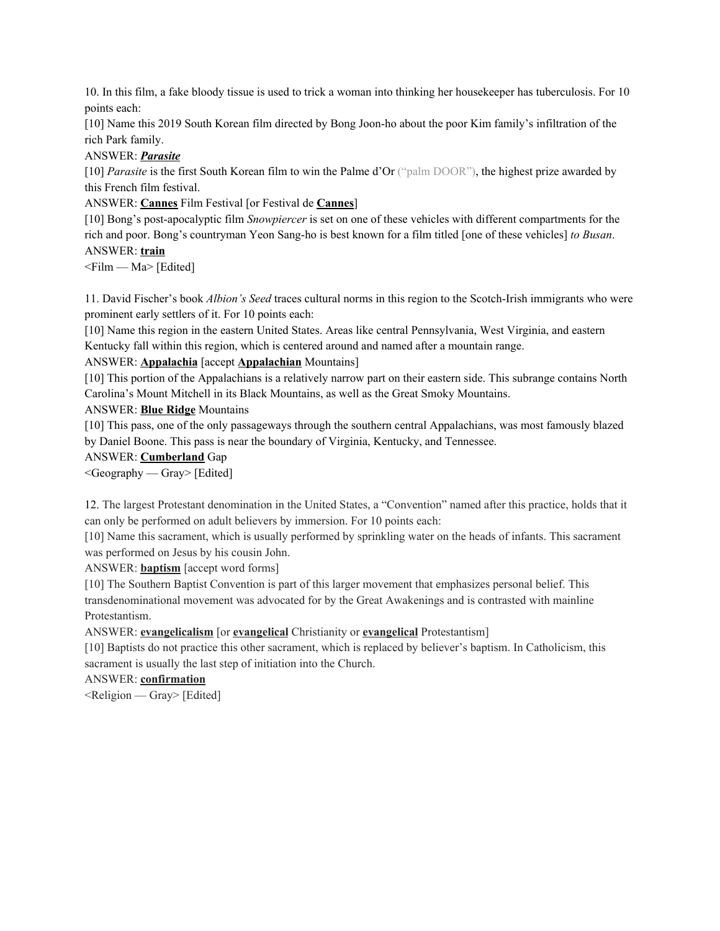10. In this film, a fake bloody tissue is used to trick a woman into thinking her housekeeper has tuberculosis. For 10 points each:

[10] Name this 2019 South Korean film directed by Bong Joon-ho about the poor Kim family's infiltration of the rich Park family.

ANSWER: *Parasite*

[10] *Parasite* is the first South Korean film to win the Palme d'Or ("palm DOOR"), the highest prize awarded by this French film festival.

ANSWER: **Cannes** Film Festival [or Festival de **Cannes**]

[10] Bong's post-apocalyptic film *Snowpiercer* is set on one of these vehicles with different compartments for the rich and poor. Bong's countryman Yeon Sang-ho is best known for a film titled [one of these vehicles] *to Busan*. ANSWER: **train**

 $\leq$ Film — Ma $>$  [Edited]

11. David Fischer's book *Albion's Seed* traces cultural norms in this region to the Scotch-Irish immigrants who were prominent early settlers of it. For 10 points each:

[10] Name this region in the eastern United States. Areas like central Pennsylvania, West Virginia, and eastern Kentucky fall within this region, which is centered around and named after a mountain range.

#### ANSWER: **Appalachia** [accept **Appalachian** Mountains]

[10] This portion of the Appalachians is a relatively narrow part on their eastern side. This subrange contains North Carolina's Mount Mitchell in its Black Mountains, as well as the Great Smoky Mountains.

#### ANSWER: **Blue Ridge** Mountains

[10] This pass, one of the only passageways through the southern central Appalachians, was most famously blazed by Daniel Boone. This pass is near the boundary of Virginia, Kentucky, and Tennessee.

#### ANSWER: **Cumberland** Gap

<Geography — Gray> [Edited]

12. The largest Protestant denomination in the United States, a "Convention" named after this practice, holds that it can only be performed on adult believers by immersion. For 10 points each:

[10] Name this sacrament, which is usually performed by sprinkling water on the heads of infants. This sacrament was performed on Jesus by his cousin John.

ANSWER: **baptism** [accept word forms]

[10] The Southern Baptist Convention is part of this larger movement that emphasizes personal belief. This transdenominational movement was advocated for by the Great Awakenings and is contrasted with mainline Protestantism.

ANSWER: **evangelicalism** [or **evangelical** Christianity or **evangelical** Protestantism]

[10] Baptists do not practice this other sacrament, which is replaced by believer's baptism. In Catholicism, this sacrament is usually the last step of initiation into the Church.

ANSWER: **confirmation**

 $\leq$ Religion — Gray> [Edited]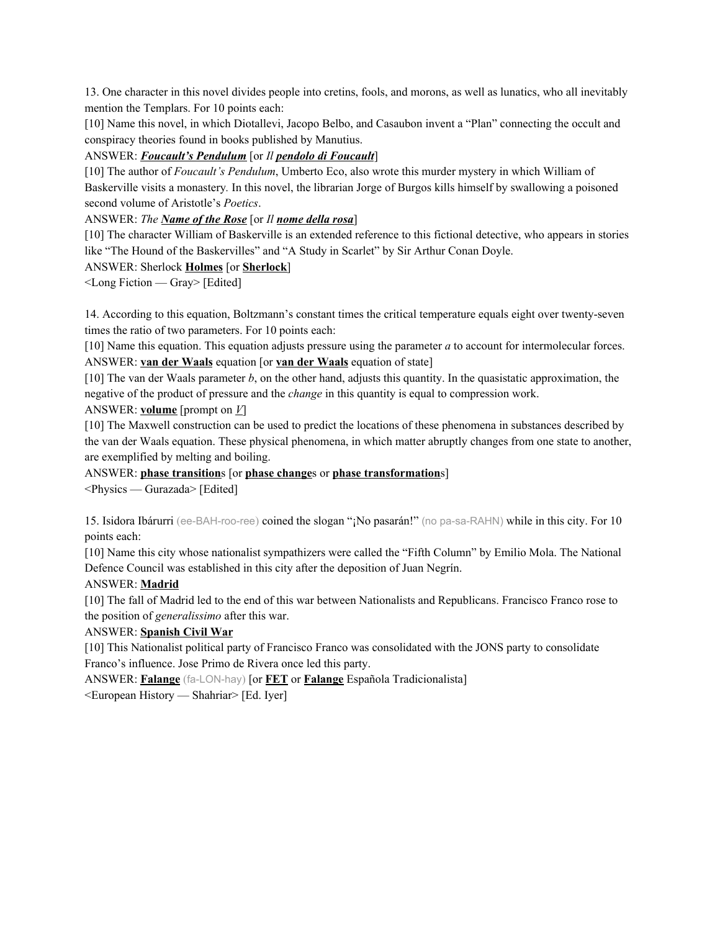13. One character in this novel divides people into cretins, fools, and morons, as well as lunatics, who all inevitably mention the Templars. For 10 points each:

[10] Name this novel, in which Diotallevi, Jacopo Belbo, and Casaubon invent a "Plan" connecting the occult and conspiracy theories found in books published by Manutius.

ANSWER: *Foucault's Pendulum* [or *Il pendolo di Foucault*]

[10] The author of *Foucault's Pendulum*, Umberto Eco, also wrote this murder mystery in which William of Baskerville visits a monastery*.* In this novel, the librarian Jorge of Burgos kills himself by swallowing a poisoned second volume of Aristotle's *Poetics*.

ANSWER: *The Name of the Rose* [or *Il nome della rosa*]

[10] The character William of Baskerville is an extended reference to this fictional detective, who appears in stories like "The Hound of the Baskervilles" and "A Study in Scarlet" by Sir Arthur Conan Doyle.

#### ANSWER: Sherlock **Holmes** [or **Sherlock**]

<Long Fiction — Gray> [Edited]

14. According to this equation, Boltzmann's constant times the critical temperature equals eight over twenty-seven times the ratio of two parameters. For 10 points each:

[10] Name this equation. This equation adjusts pressure using the parameter *a* to account for intermolecular forces. ANSWER: **van der Waals** equation [or **van der Waals** equation of state]

[10] The van der Waals parameter *b*, on the other hand, adjusts this quantity. In the quasistatic approximation, the negative of the product of pressure and the *change* in this quantity is equal to compression work.

ANSWER: **volume** [prompt on *V*]

[10] The Maxwell construction can be used to predict the locations of these phenomena in substances described by the van der Waals equation. These physical phenomena, in which matter abruptly changes from one state to another, are exemplified by melting and boiling.

## ANSWER: **phase transition**s [or **phase change**s or **phase transformation**s]

<Physics — Gurazada> [Edited]

15. Isidora Ibárurri (ee-BAH-roo-ree) coined the slogan "¡No pasarán!" (no pa-sa-RAHN) while in this city. For 10 points each:

[10] Name this city whose nationalist sympathizers were called the "Fifth Column" by Emilio Mola. The National Defence Council was established in this city after the deposition of Juan Negrín.

#### ANSWER: **Madrid**

[10] The fall of Madrid led to the end of this war between Nationalists and Republicans. Francisco Franco rose to the position of *generalissimo* after this war.

## ANSWER: **Spanish Civil War**

[10] This Nationalist political party of Francisco Franco was consolidated with the JONS party to consolidate Franco's influence. Jose Primo de Rivera once led this party.

ANSWER: **Falange** (fa-LON-hay) [or **FET** or **Falange** Española Tradicionalista]

<European History — Shahriar> [Ed. Iyer]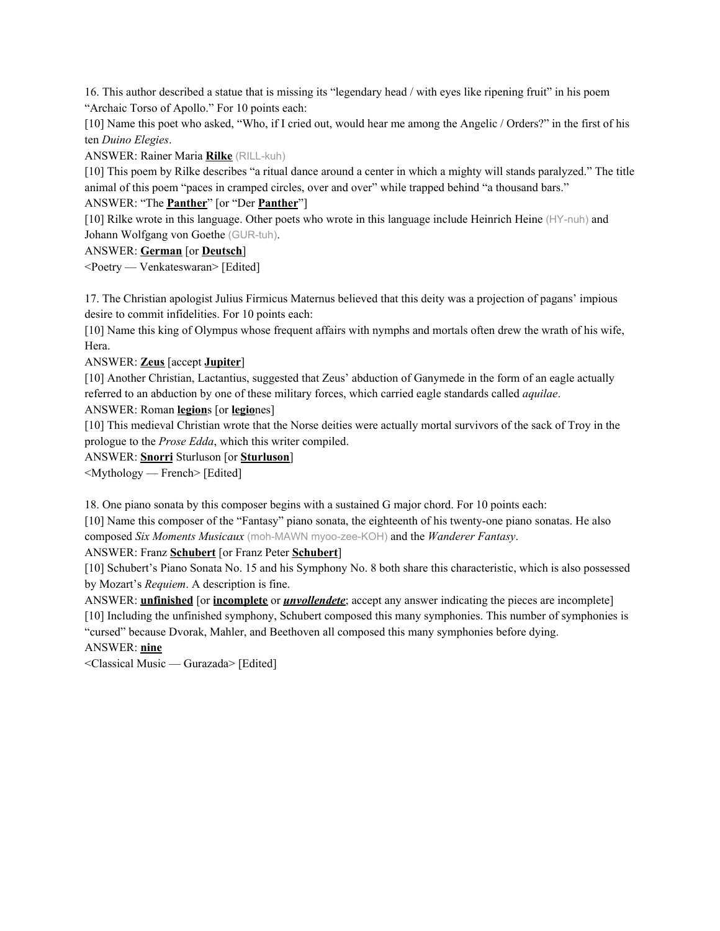16. This author described a statue that is missing its "legendary head / with eyes like ripening fruit" in his poem "Archaic Torso of Apollo." For 10 points each:

[10] Name this poet who asked, "Who, if I cried out, would hear me among the Angelic / Orders?" in the first of his ten *Duino Elegies*.

ANSWER: Rainer Maria **Rilke** (RILL-kuh)

[10] This poem by Rilke describes "a ritual dance around a center in which a mighty will stands paralyzed." The title animal of this poem "paces in cramped circles, over and over" while trapped behind "a thousand bars."

### ANSWER: "The **Panther**" [or "Der **Panther**"]

[10] Rilke wrote in this language. Other poets who wrote in this language include Heinrich Heine (HY-nuh) and Johann Wolfgang von Goethe (GUR-tuh).

#### ANSWER: **German** [or **Deutsch**]

<Poetry — Venkateswaran> [Edited]

17. The Christian apologist Julius Firmicus Maternus believed that this deity was a projection of pagans' impious desire to commit infidelities. For 10 points each:

[10] Name this king of Olympus whose frequent affairs with nymphs and mortals often drew the wrath of his wife, Hera.

## ANSWER: **Zeus** [accept **Jupiter**]

[10] Another Christian, Lactantius, suggested that Zeus' abduction of Ganymede in the form of an eagle actually referred to an abduction by one of these military forces, which carried eagle standards called *aquilae*.

#### ANSWER: Roman **legion**s [or **legio**nes]

[10] This medieval Christian wrote that the Norse deities were actually mortal survivors of the sack of Troy in the prologue to the *Prose Edda*, which this writer compiled.

ANSWER: **Snorri** Sturluson [or **Sturluson**]

<Mythology — French> [Edited]

18. One piano sonata by this composer begins with a sustained G major chord. For 10 points each:

[10] Name this composer of the "Fantasy" piano sonata, the eighteenth of his twenty-one piano sonatas. He also composed *Six Moments Musicaux* (moh-MAWN myoo-zee-KOH) and the *Wanderer Fantasy*.

ANSWER: Franz **Schubert** [or Franz Peter **Schubert**]

[10] Schubert's Piano Sonata No. 15 and his Symphony No. 8 both share this characteristic, which is also possessed by Mozart's *Requiem*. A description is fine.

ANSWER: **unfinished** [or **incomplete** or *unvollendete*; accept any answer indicating the pieces are incomplete] [10] Including the unfinished symphony, Schubert composed this many symphonies. This number of symphonies is

"cursed" because Dvorak, Mahler, and Beethoven all composed this many symphonies before dying.

ANSWER: **nine**

<Classical Music — Gurazada> [Edited]